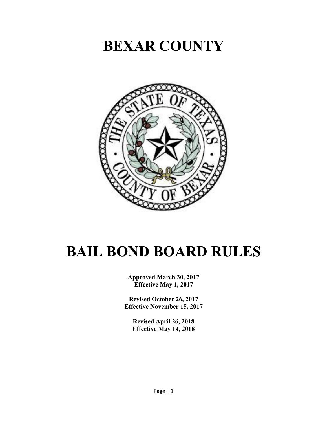# **BEXAR COUNTY**



# **BAIL BOND BOARD RULES**

**Approved March 30, 2017 Effective May 1, 2017**

**Revised October 26, 2017 Effective November 15, 2017**

**Revised April 26, 2018 Effective May 14, 2018**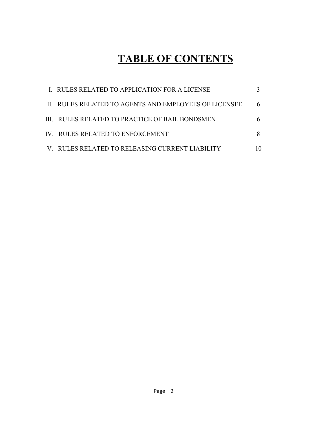# **TABLE OF CONTENTS**

| I. RULES RELATED TO APPLICATION FOR A LICENSE         |  |
|-------------------------------------------------------|--|
| II. RULES RELATED TO AGENTS AND EMPLOYEES OF LICENSEE |  |
| III. RULES RELATED TO PRACTICE OF BAIL BONDSMEN       |  |
| IV. RULES RELATED TO ENFORCEMENT                      |  |
| V. RULES RELATED TO RELEASING CURRENT LIABILITY       |  |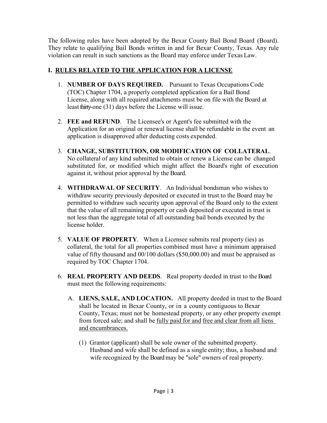The following rules have been adopted by the Bexar County Bail Bond Board (Board). They relate to qualifying Bail Bonds written in and for Bexar County, Texas. Any rule violation can result in such sanctions as the Board may enforce under Texas Law.

# **I. RULES RELATED TQ THE APPLICATION FOR A LICENSE**

- 1. **NUMBER OF DAYS REQUIRED.** Pursuant to Texas Occupations Code (TOC) Chapter 1704, a properly completed application for a Bail Bond License, along with all required attachments must be on file with the Board at least thirty-one (31) days before the License will issue.
- 2. **FEE and REFUND**. The Licensee's or Agent's fee submitted with the Application for an original or renewal license shall be refundable in the event an application is disapproved after deducting costs expended.
- 3. **CHANGE, SUBSTITUTION, OR MODIFICATION OF COLLATERAL**. No collateral of any kind submitted to obtain or renew a License can be changed substituted for, or modified which might affect the Board's right of execution against it, without prior approval by the Board.
- 4. **WITHDRAWAL OF SECURITY**. An Individual bondsman who wishes to withdraw security previously deposited or executed in trust to the Board may be permitted to withdraw such security upon approval of the Board only to the extent that the value of all remaining property or cash deposited or executed in trust is not less than the aggregate total of all outstanding bail bonds executed by the license holder.
- 5. **VALUE OF PROPERTY**. When a Licensee submits real property (ies) as collateral, the total for all properties combined must have a minimum appraised value of fifty thousand and 00/100 dollars (\$50,000.00) and must be appraised as required by TOC Chapter 1704.
- 6. **REAL PROPERTY AND DEEDS**. Real property deeded in trust to theBoard must meet the following requirements:
	- A. **LIENS, SALE, AND LOCATION.** All property deeded in trust to the Board shall be located in Bexar County, or in a county contiguous to Bexar County, Texas; must not be homestead property, or any other property exempt from forced sale; and shall be fully paid for and free and clear from all liens and encumbrances.
		- (1) Grantor (applicant) shall be sole owner of the submitted property. Husband and wife shall be defined as a single entity; thus, a husband and wife recognized by the Board may be "sole" owners of real property.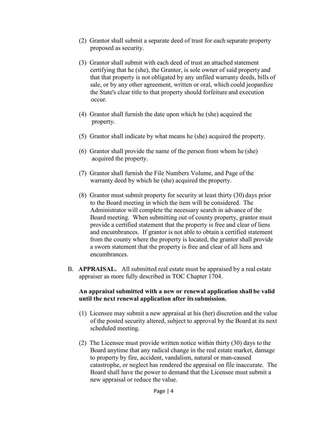- (2) Grantor shall submit a separate deed of trust for each separate property proposed as security.
- (3) Grantor shall submit with each deed of trust an attached statement certifying that he (she), the Grantor, is sole owner of said property and that that property is not obligated by any unfiled warranty deeds, bills of sale, or by any other agreement, written or oral, which could jeopardize the State's clear title to that property should forfeiture and execution occur.
- (4) Grantor shall furnish the date upon which he (she) acquired the property.
- (5) Grantor shall indicate by what means he (she) acquired the property.
- (6) Grantor shall provide the name of the person from whom he (she) acquired the property.
- (7) Grantor shall furnish the File Numbers Volume, and Page of the warranty deed by which he (she) acquired the property.
- (8) Grantor must submit property for security at least thirty (30) days prior to the Board meeting in which the item will be considered. The Administrator will complete the necessary search in advance of the Board meeting. When submitting out of county property, grantor must provide a certified statement that the property is free and clear of liens and encumbrances. If grantor is not able to obtain a certified statement from the county where the property is located, the grantor shall provide a sworn statement that the property is free and clear of all liens and encumbrances.
- B. **APPRAISAL.** All submitted real estate must be appraised by a real estate appraiser as more fully described in TOC Chapter 1704.

#### **An appraisal submitted with a new or renewal application shall be valid until the next renewal application after itssubmission.**

- (1)Licensee may submit a new appraisal at his (her) discretion and the value of the posted security altered, subject to approval by the Board at its next scheduled meeting.
- (2) The Licensee must provide written notice within thirty (30) days to the Board anytime that any radical change in the real estate market, damage to property by fire, accident, vandalism, natural or man-caused catastrophe, or neglect has rendered the appraisal on file inaccurate. The Board shall have the power to demand that the Licensee must submit a new appraisal or reduce the value.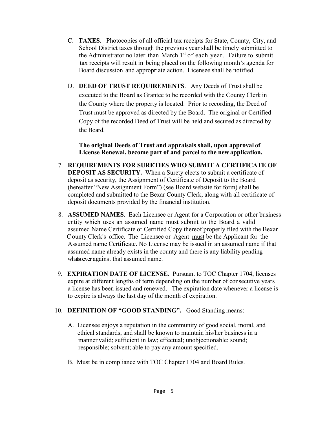- C. **TAXES**. Photocopies of all official tax receipts for State, County, City, and School District taxes through the previous year shall be timely submitted to the Administrator no later than March  $1<sup>st</sup>$  of each year. Failure to submit tax receipts will result in being placed on the following month's agenda for Board discussion and appropriate action. Licensee shall be notified.
- D. **DEED OF TRUST REQUIREMENTS**. Any Deeds of Trust shall be executed to the Board as Grantee to be recorded with the County Clerk in the County where the property is located. Prior to recording, the Deed of Trust must be approved as directed by the Board. The original or Certified Copy of the recorded Deed of Trust will be held and secured as directed by the Board.

 **The original Deeds of Trust and appraisals shall, upon approval of License Renewal, become part of and parcel to the new application.**

- 7. **REQUIREMENTS FOR SURETIES WHO SUBMIT A CERTIFICATE OF DEPOSIT AS SECURITY.** When a Surety elects to submit a certificate of deposit as security, the Assignment of Certificate of Deposit to the Board (hereafter "New Assignment Form") (see Board website for form) shall be completed and submitted to the Bexar County Clerk, along with all certificate of deposit documents provided by the financial institution.
- 8. **ASSUMED NAMES**. Each Licensee or Agent for a Corporation or other business entity which uses an assumed name must submit to the Board a valid assumed Name Certificate or Certified Copy thereof properly filed with the Bexar County Clerk's office. The Licensee or Agent must be the Applicant for the Assumed name Certificate. No License may be issued in an assumed name if that assumed name already exists in the county and there is any liability pending whatsoever against that assumed name.
- 9. **EXPIRATION DATE OF LICENSE**. Pursuant to TOC Chapter 1704, licenses expire at different lengths of term depending on the number of consecutive years a license has been issued and renewed. The expiration date whenever a license is to expire is always the last day of the month of expiration.

# 10. **DEFINITION OF "GOOD STANDING".** Good Standing means:

- A. Licensee enjoys a reputation in the community of good social, moral, and ethical standards, and shall be known to maintain his/her business in a manner valid; sufficient in law; effectual; unobjectionable; sound; responsible; solvent; able to pay any amount specified.
- B. Must be in compliance with TOC Chapter 1704 and Board Rules.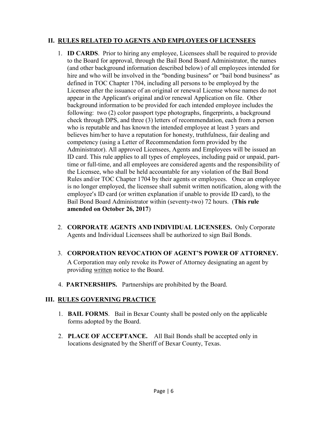#### **II. RULES RELATED TO AGENTS AND EMPLOYEES OF LICENSEES**

- 1. **ID CARDS**. Prior to hiring any employee, Licensees shall be required to provide to the Board for approval, through the Bail Bond Board Administrator, the names (and other background information described below) of all employees intended for hire and who will be involved in the "bonding business" or "bail bond business" as defined in TOC Chapter 1704, including all persons to be employed by the Licensee after the issuance of an original or renewal License whose names do not appear in the Applicant's original and/or renewal Application on file. Other background information to be provided for each intended employee includes the following: two (2) color passport type photographs, fingerprints, a background check through DPS, and three (3) letters of recommendation, each from a person who is reputable and has known the intended employee at least 3 years and believes him/her to have a reputation for honesty, truthfulness, fair dealing and competency (using a Letter of Recommendation form provided by the Administrator). All approved Licensees, Agents and Employees will be issued an ID card. This rule applies to all types of employees, including paid or unpaid, parttime or full-time, and all employees are considered agents and the responsibility of the Licensee, who shall be held accountable for any violation of the Bail Bond Rules and/or TOC Chapter 1704 by their agents or employees. Once an employee is no longer employed, the licensee shall submit written notification, along with the employee's ID card (or written explanation if unable to provide ID card), to the Bail Bond Board Administrator within (seventy-two) 72 hours. (**This rule amended on October 26, 2017**)
- 2. **CORPORATE AGENTS AND INDIVIDUAL LICENSEES.** Only Corporate Agents and Individual Licensees shall be authorized to sign Bail Bonds.

#### 3. **CORPORATION REVOCATION OF AGENT'S POWER OF ATTORNEY.**

A Corporation may only revoke its Power of Attorney designating an agent by providing written notice to the Board.

4. **PARTNERSHIPS.** Partnerships are prohibited by the Board.

#### **III. RULES GOVERNING PRACTICE**

- 1. **BAIL FORMS**. Bail in Bexar County shall be posted only on the applicable forms adopted by the Board.
- 2. **PLACE OF ACCEPTANCE.** All Bail Bonds shall be accepted only in locations designated by the Sheriff of Bexar County, Texas.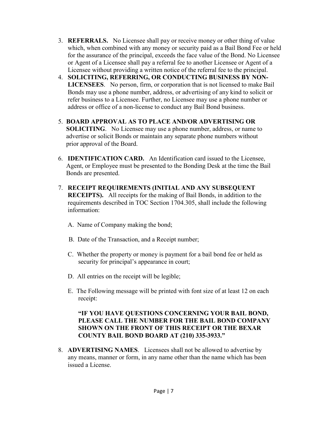- 3. **REFERRALS.** No Licensee shall pay or receive money or other thing of value which, when combined with any money or security paid as a Bail Bond Fee or held for the assurance of the principal, exceeds the face value of the Bond. No Licensee or Agent of a Licensee shall pay a referral fee to another Licensee or Agent of a Licensee without providing a written notice of the referral fee to the principal.
- 4. **SOLICITING, REFERRING, OR CONDUCTING BUSINESS BY NON- LICENSEES**. No person, firm, or corporation that is not licensed to make Bail Bonds may use a phone number, address, or advertising of any kind to solicit or refer business to a Licensee. Further, no Licensee may use a phone number or address or office of a non-license to conduct any Bail Bond business.
- 5. **BOARD APPROVAL AS TO PLACE AND/OR ADVERTISING OR SOLICITING**. No Licensee may use a phone number, address, or name to advertise or solicit Bonds or maintain any separate phone numbers without prior approval of the Board.
- 6. **IDENTIFICATION CARD.** An Identification card issued to the Licensee, Agent, or Employee must be presented to the Bonding Desk at the time the Bail Bonds are presented.
- 7. **RECEIPT REQUIREMENTS (INITIAL AND ANY SUBSEQUENT RECEIPTS).** All receipts for the making of Bail Bonds, in addition to the requirements described in TOC Section 1704.305, shall include the following information:
	- A. Name of Company making the bond;
	- B. Date of the Transaction, and a Receipt number;
	- C. Whether the property or money is payment for a bail bond fee or held as security for principal's appearance in court;
	- D. All entries on the receipt will be legible;
	- E. The Following message will be printed with font size of at least 12 on each receipt:

#### **"IF YOU HAVE QUESTIONS CONCERNING YOUR BAIL BOND, PLEASE CALL THE NUMBER FOR THE BAIL BOND COMPANY SHOWN ON THE FRONT OF THIS RECEIPT OR THE BEXAR COUNTY BAIL BOND BOARD AT (210) 335-3933."**

 8. **ADVERTISING NAMES**. Licensees shall not be allowed to advertise by any means, manner or form, in any name other than the name which has been issued a License.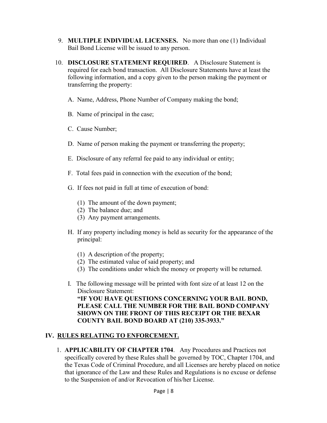- 9. **MULTIPLE INDIVIDUAL LICENSES.** No more than one (1) Individual Bail Bond License will be issued to any person.
- 10. **DISCLOSURE STATEMENT REQUIRED**. A Disclosure Statement is required for each bond transaction. All Disclosure Statements have at least the following information, and a copy given to the person making the payment or transferring the property:
	- A. Name, Address, Phone Number of Company making the bond;
	- B. Name of principal in the case;
	- C. Cause Number;
	- D. Name of person making the payment or transferring the property;
	- E. Disclosure of any referral fee paid to any individual or entity;
	- F. Total fees paid in connection with the execution of the bond;
	- G. If fees not paid in full at time of execution of bond:
		- (1) The amount of the down payment;
		- (2) The balance due; and
		- (3) Any payment arrangements.
	- H. If any property including money is held as security for the appearance of the principal:
		- (1) A description of the property;
		- (2) The estimated value of said property; and
		- (3) The conditions under which the money or property will be returned.
	- I. The following message will be printed with font size of at least 12 on the Disclosure Statement: **"IF YOU HAVE QUESTIONS CONCERNING YOUR BAIL BOND, PLEASE CALL THE NUMBER FOR THE BAIL BOND COMPANY SHOWN ON THE FRONT OF THIS RECEIPT OR THE BEXAR COUNTY BAIL BOND BOARD AT (210) 335-3933."**

# **IV. RULES RELATING TO ENFORCEMENT.**

 1. **APPLICABILITY OF CHAPTER 1704**. Any Procedures and Practices not specifically covered by these Rules shall be governed by TOC, Chapter 1704, and the Texas Code of Criminal Procedure, and all Licenses are hereby placed on notice that ignorance of the Law and these Rules and Regulations is no excuse or defense to the Suspension of and/or Revocation of his/her License.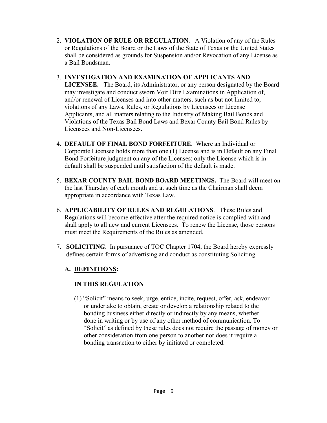2. **VIOLATION OF RULE OR REGULATION**. A Violation of any of the Rules or Regulations of the Board or the Laws of the State of Texas or the United States shall be considered as grounds for Suspension and/or Revocation of any License as a Bail Bondsman.

# 3. **INVESTIGATION AND EXAMINATION OF APPLICANTS AND**

 **LICENSEE.** The Board, its Administrator, or any person designated by the Board may investigate and conduct sworn Voir Dire Examinations in Application of, and/or renewal of Licenses and into other matters, such as but not limited to, violations of any Laws, Rules, or Regulations by Licensees or License Applicants, and all matters relating to the Industry of Making Bail Bonds and Violations of the Texas Bail Bond Laws and Bexar County Bail Bond Rules by Licensees and Non-Licensees.

- 4. **DEFAULT OF FINAL BOND FORFEITURE**. Where an Individual or Corporate Licensee holds more than one (1) License and is in Default on any Final Bond Forfeiture judgment on any of the Licenses; only the License which is in default shall be suspended until satisfaction of the default is made.
- 5. **BEXAR COUNTY BAIL BOND BOARD MEETINGS.** The Board will meet on the last Thursday of each month and at such time as the Chairman shall deem appropriate in accordance with Texas Law.
- 6. **APPLICABILITY OF RULES AND REGULATIONS**. These Rules and Regulations will become effective after the required notice is complied with and shall apply to all new and current Licensees. To renew the License, those persons must meet the Requirements of the Rules as amended.
- 7. **SOLICITING**. In pursuance of TOC Chapter 1704, the Board hereby expressly defines certain forms of advertising and conduct as constituting Soliciting.

# **A. DEFINITIONS:**

# **IN THIS REGULATION**

(1) "Solicit" means to seek, urge, entice, incite, request, offer, ask, endeavor or undertake to obtain, create or develop a relationship related to the bonding business either directly or indirectly by any means, whether done in writing or by use of any other method of communication. To "Solicit" as defined by these rules does not require the passage of money or other consideration from one person to another nor does it require a bonding transaction to either by initiated or completed.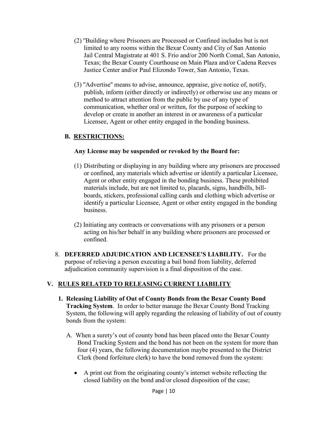- (2) ''Building where Prisoners are Processed or Confined includes but is not limited to any rooms within the Bexar County and City of San Antonio Jail Central Magistrate at 401 S. Frio and/or 200 North Comal, San Antonio, Texas; the Bexar County Courthouse on Main Plaza and/or Cadena Reeves Justice Center and/or Paul Elizondo Tower, San Antonio, Texas.
- (3) ''Advertise'' means to advise, announce, appraise, give notice of, notify, publish, inform (either directly or indirectly) or otherwise use any means or method to attract attention from the public by use of any type of communication, whether oral or written, for the purpose of seeking to develop or create in another an interest in or awareness of a particular Licensee, Agent or other entity engaged in the bonding business.

# **B. RESTRICTIONS:**

#### **Any License may be suspended or revoked by the Board for:**

- (1) Distributing or displaying in any building where any prisoners are processed or confined, any materials which advertise or identify a particular Licensee, Agent or other entity engaged in the bonding business. These prohibited materials include, but are not limited to, placards, signs, handbills, billboards, stickers, professional calling cards and clothing which advertise or identify a particular Licensee, Agent or other entity engaged in the bonding business.
- (2) Initiating any contracts or conversations with any prisoners or a person acting on his/her behalf in any building where prisoners are processed or confined.
- 8. **DEFERRED ADJUDICATION AND LICENSEE'S LIABILITY.** For the purpose of relieving a person executing a bail bond from liability, deferred adjudication community supervision is a final disposition of the case.

# **V. RULES RELATED TO RELEASING CURRENT LIABILITY**

- **1. Releasing Liability of Out of County Bonds from the Bexar County Bond Tracking System**. In order to better manage the Bexar County Bond Tracking System, the following will apply regarding the releasing of liability of out of county bonds from the system:
	- A. When a surety's out of county bond has been placed onto the Bexar County Bond Tracking System and the bond has not been on the system for more than four (4) years, the following documentation maybe presented to the District Clerk (bond forfeiture clerk) to have the bond removed from the system:
		- A print out from the originating county's internet website reflecting the closed liability on the bond and/or closed disposition of the case;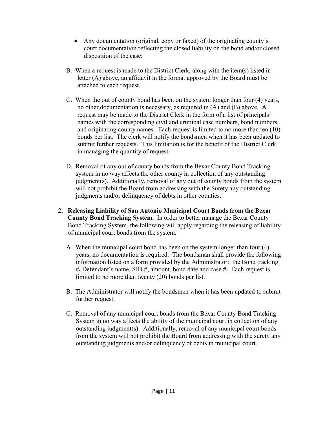- Any documentation (original, copy or faxed) of the originating county's court documentation reflecting the closed liability on the bond and/or closed disposition of the case;
- B. When a request is made to the District Clerk, along with the item(s) listed in letter (A) above, an affidavit in the format approved by the Board must be attached to each request.
- C. When the out of county bond has been on the system longer than four (4) years, no other documentation is necessary, as required in (A) and (B) above. A request may be made to the District Clerk in the form of a list of principals' names with the corresponding civil and criminal case numbers, bond numbers, and originating county names. Each request is limited to no more than ten (10) bonds per list. The clerk will notify the bondsmen when it has been updated to submit further requests. This limitation is for the benefit of the District Clerk in managing the quantity of request.
- D. Removal of any out of county bonds from the Bexar County Bond Tracking system in no way affects the other county in collection of any outstanding judgment(s). Additionally, removal of any out of county bonds from the system will not prohibit the Board from addressing with the Surety any outstanding judgments and/or delinquency of debts in other counties.
- **2. Releasing Liability of San Antonio Municipal Court Bonds from the Bexar County Bond Tracking System.** In order to better manage the Bexar County Bond Tracking System, the following will apply regarding the releasing of liability of municipal court bonds from the system:
	- A. When the municipal court bond has been on the system longer than four (4) years, no documentation is required. The bondsman shall provide the following information listed on a form provided by the Administrator: the Bond tracking #**,** Defendant's name, SID #, amount, bond date and case **#.** Each request is limited to no more than twenty (20) bonds per list.
	- B. The Administrator will notify the bondsmen when it has been updated to submit further request.
	- C. Removal of any municipal court bonds from the Bexar County Bond Tracking System in no way affects the ability of the municipal court in collection of any outstanding judgment(s). Additionally, removal of any municipal court bonds from the system will not prohibit the Board from addressing with the surety any outstanding judgments and/or delinquency of debts in municipal court.